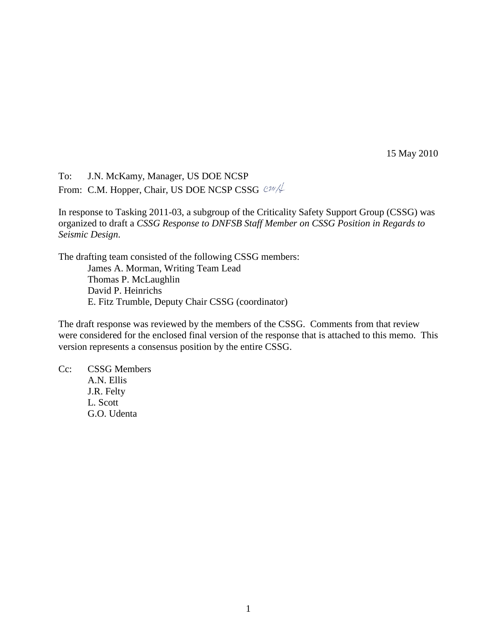15 May 2010

To: J.N. McKamy, Manager, US DOE NCSP From: C.M. Hopper, Chair, US DOE NCSP CSSG  $@{\mathcal{W}}/\!\!\!\downarrow$ 

In response to Tasking 2011-03, a subgroup of the Criticality Safety Support Group (CSSG) was organized to draft a *CSSG Response to DNFSB Staff Member on CSSG Position in Regards to Seismic Design*.

The drafting team consisted of the following CSSG members:

James A. Morman, Writing Team Lead Thomas P. McLaughlin David P. Heinrichs E. Fitz Trumble, Deputy Chair CSSG (coordinator)

The draft response was reviewed by the members of the CSSG. Comments from that review were considered for the enclosed final version of the response that is attached to this memo. This version represents a consensus position by the entire CSSG.

Cc: CSSG Members A.N. Ellis

> J.R. Felty L. Scott G.O. Udenta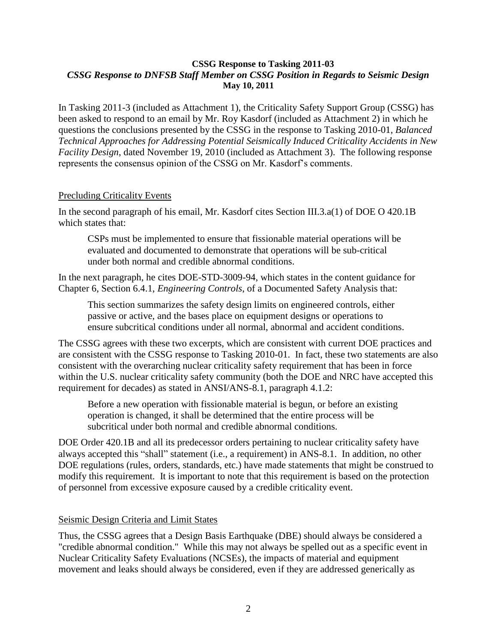## **CSSG Response to Tasking 2011-03** *CSSG Response to DNFSB Staff Member on CSSG Position in Regards to Seismic Design* **May 10, 2011**

In Tasking 2011-3 (included as Attachment 1), the Criticality Safety Support Group (CSSG) has been asked to respond to an email by Mr. Roy Kasdorf (included as Attachment 2) in which he questions the conclusions presented by the CSSG in the response to Tasking 2010-01, *Balanced Technical Approaches for Addressing Potential Seismically Induced Criticality Accidents in New Facility Design*, dated November 19, 2010 (included as Attachment 3). The following response represents the consensus opinion of the CSSG on Mr. Kasdorf's comments.

## Precluding Criticality Events

In the second paragraph of his email, Mr. Kasdorf cites Section III.3.a(1) of DOE O 420.1B which states that:

CSPs must be implemented to ensure that fissionable material operations will be evaluated and documented to demonstrate that operations will be sub-critical under both normal and credible abnormal conditions.

In the next paragraph, he cites DOE-STD-3009-94, which states in the content guidance for Chapter 6, Section 6.4.1, *Engineering Controls*, of a Documented Safety Analysis that:

This section summarizes the safety design limits on engineered controls, either passive or active, and the bases place on equipment designs or operations to ensure subcritical conditions under all normal, abnormal and accident conditions.

The CSSG agrees with these two excerpts, which are consistent with current DOE practices and are consistent with the CSSG response to Tasking 2010-01. In fact, these two statements are also consistent with the overarching nuclear criticality safety requirement that has been in force within the U.S. nuclear criticality safety community (both the DOE and NRC have accepted this requirement for decades) as stated in ANSI/ANS-8.1, paragraph 4.1.2:

Before a new operation with fissionable material is begun, or before an existing operation is changed, it shall be determined that the entire process will be subcritical under both normal and credible abnormal conditions.

DOE Order 420.1B and all its predecessor orders pertaining to nuclear criticality safety have always accepted this "shall" statement (i.e., a requirement) in ANS-8.1. In addition, no other DOE regulations (rules, orders, standards, etc.) have made statements that might be construed to modify this requirement. It is important to note that this requirement is based on the protection of personnel from excessive exposure caused by a credible criticality event.

## Seismic Design Criteria and Limit States

Thus, the CSSG agrees that a Design Basis Earthquake (DBE) should always be considered a "credible abnormal condition." While this may not always be spelled out as a specific event in Nuclear Criticality Safety Evaluations (NCSEs), the impacts of material and equipment movement and leaks should always be considered, even if they are addressed generically as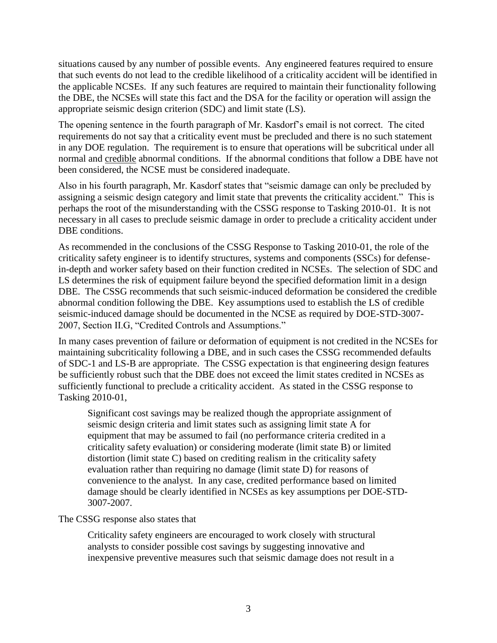situations caused by any number of possible events. Any engineered features required to ensure that such events do not lead to the credible likelihood of a criticality accident will be identified in the applicable NCSEs. If any such features are required to maintain their functionality following the DBE, the NCSEs will state this fact and the DSA for the facility or operation will assign the appropriate seismic design criterion (SDC) and limit state (LS).

The opening sentence in the fourth paragraph of Mr. Kasdorf's email is not correct. The cited requirements do not say that a criticality event must be precluded and there is no such statement in any DOE regulation. The requirement is to ensure that operations will be subcritical under all normal and credible abnormal conditions. If the abnormal conditions that follow a DBE have not been considered, the NCSE must be considered inadequate.

Also in his fourth paragraph, Mr. Kasdorf states that "seismic damage can only be precluded by assigning a seismic design category and limit state that prevents the criticality accident." This is perhaps the root of the misunderstanding with the CSSG response to Tasking 2010-01. It is not necessary in all cases to preclude seismic damage in order to preclude a criticality accident under DBE conditions.

As recommended in the conclusions of the CSSG Response to Tasking 2010-01, the role of the criticality safety engineer is to identify structures, systems and components (SSCs) for defensein-depth and worker safety based on their function credited in NCSEs. The selection of SDC and LS determines the risk of equipment failure beyond the specified deformation limit in a design DBE. The CSSG recommends that such seismic-induced deformation be considered the credible abnormal condition following the DBE. Key assumptions used to establish the LS of credible seismic-induced damage should be documented in the NCSE as required by DOE-STD-3007- 2007, Section II.G, "Credited Controls and Assumptions."

In many cases prevention of failure or deformation of equipment is not credited in the NCSEs for maintaining subcriticality following a DBE, and in such cases the CSSG recommended defaults of SDC-1 and LS-B are appropriate. The CSSG expectation is that engineering design features be sufficiently robust such that the DBE does not exceed the limit states credited in NCSEs as sufficiently functional to preclude a criticality accident. As stated in the CSSG response to Tasking 2010-01,

Significant cost savings may be realized though the appropriate assignment of seismic design criteria and limit states such as assigning limit state A for equipment that may be assumed to fail (no performance criteria credited in a criticality safety evaluation) or considering moderate (limit state B) or limited distortion (limit state C) based on crediting realism in the criticality safety evaluation rather than requiring no damage (limit state D) for reasons of convenience to the analyst. In any case, credited performance based on limited damage should be clearly identified in NCSEs as key assumptions per DOE-STD-3007-2007.

## The CSSG response also states that

Criticality safety engineers are encouraged to work closely with structural analysts to consider possible cost savings by suggesting innovative and inexpensive preventive measures such that seismic damage does not result in a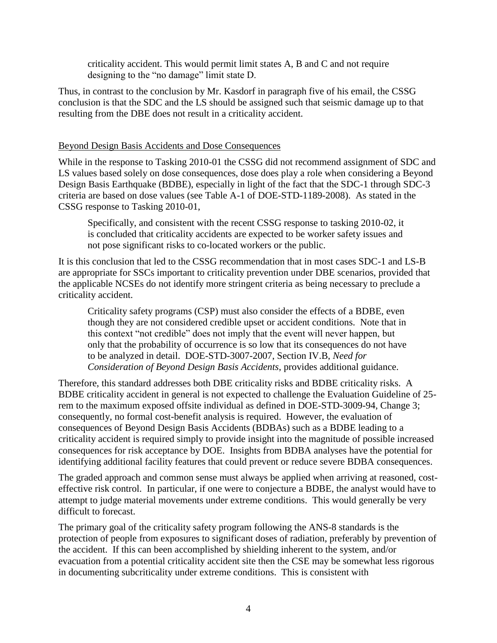criticality accident. This would permit limit states A, B and C and not require designing to the "no damage" limit state D.

Thus, in contrast to the conclusion by Mr. Kasdorf in paragraph five of his email, the CSSG conclusion is that the SDC and the LS should be assigned such that seismic damage up to that resulting from the DBE does not result in a criticality accident.

## Beyond Design Basis Accidents and Dose Consequences

While in the response to Tasking 2010-01 the CSSG did not recommend assignment of SDC and LS values based solely on dose consequences, dose does play a role when considering a Beyond Design Basis Earthquake (BDBE), especially in light of the fact that the SDC-1 through SDC-3 criteria are based on dose values (see Table A-1 of DOE-STD-1189-2008). As stated in the CSSG response to Tasking 2010-01,

Specifically, and consistent with the recent CSSG response to tasking 2010-02, it is concluded that criticality accidents are expected to be worker safety issues and not pose significant risks to co-located workers or the public.

It is this conclusion that led to the CSSG recommendation that in most cases SDC-1 and LS-B are appropriate for SSCs important to criticality prevention under DBE scenarios, provided that the applicable NCSEs do not identify more stringent criteria as being necessary to preclude a criticality accident.

Criticality safety programs (CSP) must also consider the effects of a BDBE, even though they are not considered credible upset or accident conditions. Note that in this context "not credible" does not imply that the event will never happen, but only that the probability of occurrence is so low that its consequences do not have to be analyzed in detail. DOE-STD-3007-2007, Section IV.B, *Need for Consideration of Beyond Design Basis Accidents*, provides additional guidance.

Therefore, this standard addresses both DBE criticality risks and BDBE criticality risks. A BDBE criticality accident in general is not expected to challenge the Evaluation Guideline of 25 rem to the maximum exposed offsite individual as defined in DOE-STD-3009-94, Change 3; consequently, no formal cost-benefit analysis is required. However, the evaluation of consequences of Beyond Design Basis Accidents (BDBAs) such as a BDBE leading to a criticality accident is required simply to provide insight into the magnitude of possible increased consequences for risk acceptance by DOE. Insights from BDBA analyses have the potential for identifying additional facility features that could prevent or reduce severe BDBA consequences.

The graded approach and common sense must always be applied when arriving at reasoned, costeffective risk control. In particular, if one were to conjecture a BDBE, the analyst would have to attempt to judge material movements under extreme conditions. This would generally be very difficult to forecast.

The primary goal of the criticality safety program following the ANS-8 standards is the protection of people from exposures to significant doses of radiation, preferably by prevention of the accident. If this can been accomplished by shielding inherent to the system, and/or evacuation from a potential criticality accident site then the CSE may be somewhat less rigorous in documenting subcriticality under extreme conditions. This is consistent with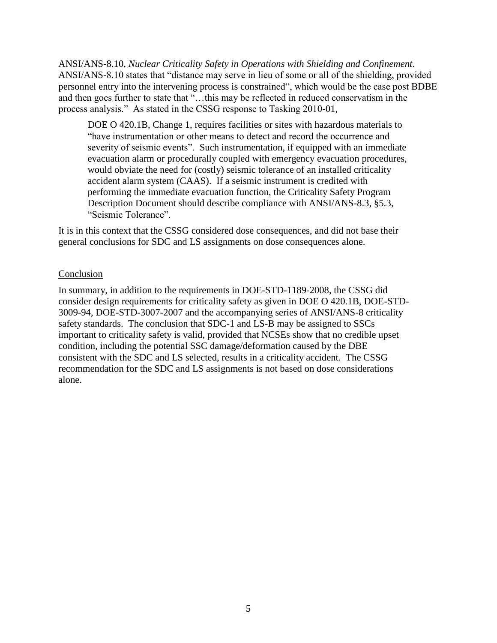ANSI/ANS-8.10, *Nuclear Criticality Safety in Operations with Shielding and Confinement*. ANSI/ANS-8.10 states that "distance may serve in lieu of some or all of the shielding, provided personnel entry into the intervening process is constrained", which would be the case post BDBE and then goes further to state that "…this may be reflected in reduced conservatism in the process analysis." As stated in the CSSG response to Tasking 2010-01,

DOE O 420.1B, Change 1, requires facilities or sites with hazardous materials to "have instrumentation or other means to detect and record the occurrence and severity of seismic events". Such instrumentation, if equipped with an immediate evacuation alarm or procedurally coupled with emergency evacuation procedures, would obviate the need for (costly) seismic tolerance of an installed criticality accident alarm system (CAAS). If a seismic instrument is credited with performing the immediate evacuation function, the Criticality Safety Program Description Document should describe compliance with ANSI/ANS-8.3, §5.3, "Seismic Tolerance".

It is in this context that the CSSG considered dose consequences, and did not base their general conclusions for SDC and LS assignments on dose consequences alone.

## Conclusion

In summary, in addition to the requirements in DOE-STD-1189-2008, the CSSG did consider design requirements for criticality safety as given in DOE O 420.1B, DOE-STD-3009-94, DOE-STD-3007-2007 and the accompanying series of ANSI/ANS-8 criticality safety standards. The conclusion that SDC-1 and LS-B may be assigned to SSCs important to criticality safety is valid, provided that NCSEs show that no credible upset condition, including the potential SSC damage/deformation caused by the DBE consistent with the SDC and LS selected, results in a criticality accident. The CSSG recommendation for the SDC and LS assignments is not based on dose considerations alone.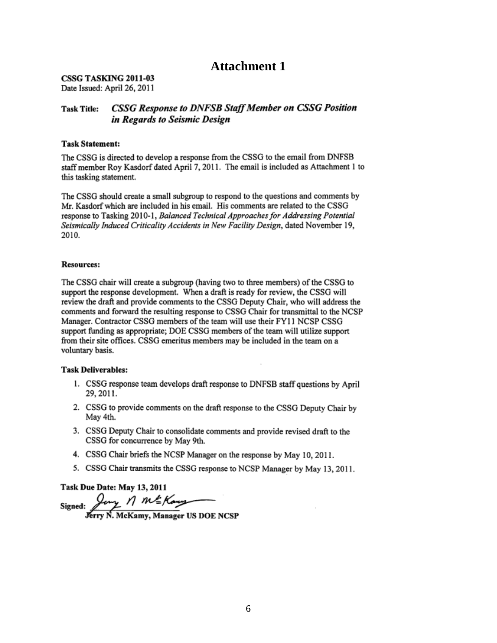## **Attachment 1**

CSSG TASKING 2011-03 Date Issued: April 26, 2011

#### **CSSG Response to DNFSB Staff Member on CSSG Position Task Title:** in Regards to Seismic Design

#### **Task Statement:**

The CSSG is directed to develop a response from the CSSG to the email from DNFSB staff member Roy Kasdorf dated April 7, 2011. The email is included as Attachment 1 to this tasking statement.

The CSSG should create a small subgroup to respond to the questions and comments by Mr. Kasdorf which are included in his email. His comments are related to the CSSG response to Tasking 2010-1, Balanced Technical Approaches for Addressing Potential Seismically Induced Criticality Accidents in New Facility Design, dated November 19, 2010.

#### **Resources:**

The CSSG chair will create a subgroup (having two to three members) of the CSSG to support the response development. When a draft is ready for review, the CSSG will review the draft and provide comments to the CSSG Deputy Chair, who will address the comments and forward the resulting response to CSSG Chair for transmittal to the NCSP Manager. Contractor CSSG members of the team will use their FY11 NCSP CSSG support funding as appropriate; DOE CSSG members of the team will utilize support from their site offices. CSSG emeritus members may be included in the team on a voluntary basis.

#### **Task Deliverables:**

- 1. CSSG response team develops draft response to DNFSB staff questions by April 29, 2011.
- 2. CSSG to provide comments on the draft response to the CSSG Deputy Chair by May 4th.
- 3. CSSG Deputy Chair to consolidate comments and provide revised draft to the CSSG for concurrence by May 9th.
- 4. CSSG Chair briefs the NCSP Manager on the response by May 10, 2011.
- 5. CSSG Chair transmits the CSSG response to NCSP Manager by May 13, 2011.

Task Due Date: May 13, 2011

Signed: Jany 1 ME Kany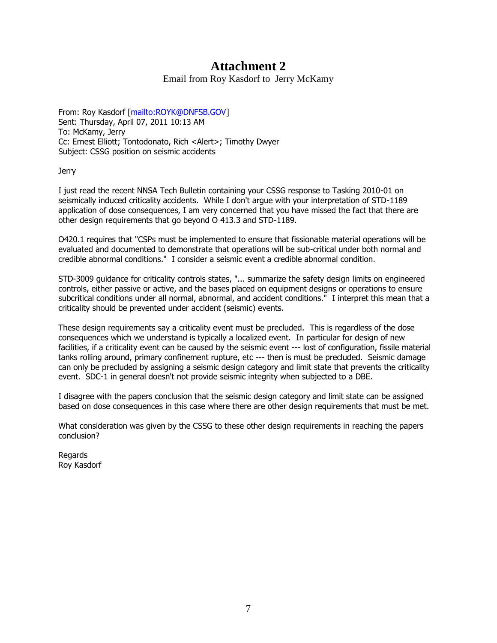# **Attachment 2**

Email from Roy Kasdorf to Jerry McKamy

From: Roy Kasdorf [\[mailto:ROYK@DNFSB.GOV\]](mailto:ROYK@DNFSB.GOV) Sent: Thursday, April 07, 2011 10:13 AM To: McKamy, Jerry Cc: Ernest Elliott; Tontodonato, Rich <Alert>; Timothy Dwyer Subject: CSSG position on seismic accidents

Jerry

I just read the recent NNSA Tech Bulletin containing your CSSG response to Tasking 2010-01 on seismically induced criticality accidents. While I don't argue with your interpretation of STD-1189 application of dose consequences, I am very concerned that you have missed the fact that there are other design requirements that go beyond O 413.3 and STD-1189.

O420.1 requires that "CSPs must be implemented to ensure that fissionable material operations will be evaluated and documented to demonstrate that operations will be sub-critical under both normal and credible abnormal conditions." I consider a seismic event a credible abnormal condition.

STD-3009 guidance for criticality controls states, "... summarize the safety design limits on engineered controls, either passive or active, and the bases placed on equipment designs or operations to ensure subcritical conditions under all normal, abnormal, and accident conditions." I interpret this mean that a criticality should be prevented under accident (seismic) events.

These design requirements say a criticality event must be precluded. This is regardless of the dose consequences which we understand is typically a localized event. In particular for design of new facilities, if a criticality event can be caused by the seismic event --- lost of configuration, fissile material tanks rolling around, primary confinement rupture, etc --- then is must be precluded. Seismic damage can only be precluded by assigning a seismic design category and limit state that prevents the criticality event. SDC-1 in general doesn't not provide seismic integrity when subjected to a DBE.

I disagree with the papers conclusion that the seismic design category and limit state can be assigned based on dose consequences in this case where there are other design requirements that must be met.

What consideration was given by the CSSG to these other design requirements in reaching the papers conclusion?

**Regards** Roy Kasdorf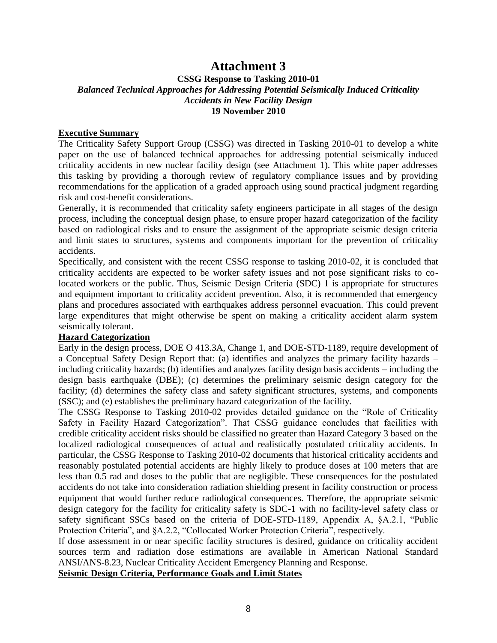## **Attachment 3**

## **CSSG Response to Tasking 2010-01**  *Balanced Technical Approaches for Addressing Potential Seismically Induced Criticality Accidents in New Facility Design*  **19 November 2010**

### **Executive Summary**

The Criticality Safety Support Group (CSSG) was directed in Tasking 2010-01 to develop a white paper on the use of balanced technical approaches for addressing potential seismically induced criticality accidents in new nuclear facility design (see Attachment 1). This white paper addresses this tasking by providing a thorough review of regulatory compliance issues and by providing recommendations for the application of a graded approach using sound practical judgment regarding risk and cost-benefit considerations.

Generally, it is recommended that criticality safety engineers participate in all stages of the design process, including the conceptual design phase, to ensure proper hazard categorization of the facility based on radiological risks and to ensure the assignment of the appropriate seismic design criteria and limit states to structures, systems and components important for the prevention of criticality accidents.

Specifically, and consistent with the recent CSSG response to tasking 2010-02, it is concluded that criticality accidents are expected to be worker safety issues and not pose significant risks to colocated workers or the public. Thus, Seismic Design Criteria (SDC) 1 is appropriate for structures and equipment important to criticality accident prevention. Also, it is recommended that emergency plans and procedures associated with earthquakes address personnel evacuation. This could prevent large expenditures that might otherwise be spent on making a criticality accident alarm system seismically tolerant.

### **Hazard Categorization**

Early in the design process, DOE O 413.3A, Change 1, and DOE-STD-1189, require development of a Conceptual Safety Design Report that: (a) identifies and analyzes the primary facility hazards – including criticality hazards; (b) identifies and analyzes facility design basis accidents – including the design basis earthquake (DBE); (c) determines the preliminary seismic design category for the facility; (d) determines the safety class and safety significant structures, systems, and components (SSC); and (e) establishes the preliminary hazard categorization of the facility.

The CSSG Response to Tasking 2010-02 provides detailed guidance on the "Role of Criticality Safety in Facility Hazard Categorization". That CSSG guidance concludes that facilities with credible criticality accident risks should be classified no greater than Hazard Category 3 based on the localized radiological consequences of actual and realistically postulated criticality accidents. In particular, the CSSG Response to Tasking 2010-02 documents that historical criticality accidents and reasonably postulated potential accidents are highly likely to produce doses at 100 meters that are less than 0.5 rad and doses to the public that are negligible. These consequences for the postulated accidents do not take into consideration radiation shielding present in facility construction or process equipment that would further reduce radiological consequences. Therefore, the appropriate seismic design category for the facility for criticality safety is SDC-1 with no facility-level safety class or safety significant SSCs based on the criteria of DOE-STD-1189, Appendix A, §A.2.1, "Public Protection Criteria", and §A.2.2, "Collocated Worker Protection Criteria", respectively.

If dose assessment in or near specific facility structures is desired, guidance on criticality accident sources term and radiation dose estimations are available in American National Standard ANSI/ANS-8.23, Nuclear Criticality Accident Emergency Planning and Response.

## **Seismic Design Criteria, Performance Goals and Limit States**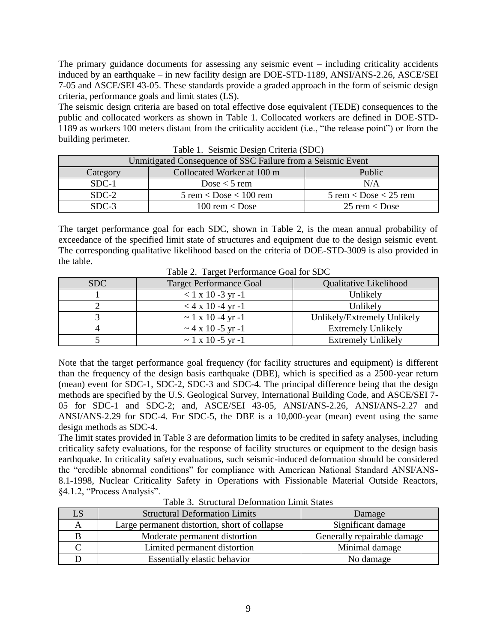The primary guidance documents for assessing any seismic event – including criticality accidents induced by an earthquake – in new facility design are DOE-STD-1189, ANSI/ANS-2.26, ASCE/SEI 7-05 and ASCE/SEI 43-05. These standards provide a graded approach in the form of seismic design criteria, performance goals and limit states (LS).

The seismic design criteria are based on total effective dose equivalent (TEDE) consequences to the public and collocated workers as shown in Table 1. Collocated workers are defined in DOE-STD-1189 as workers 100 meters distant from the criticality accident (i.e., "the release point") or from the building perimeter.

| Unmitigated Consequence of SSC Failure from a Seismic Event |                                                          |                                         |  |
|-------------------------------------------------------------|----------------------------------------------------------|-----------------------------------------|--|
| Category                                                    | Collocated Worker at 100 m                               | Public                                  |  |
| $SDC-1$                                                     | Dose $<$ 5 rem                                           | N/A                                     |  |
| $SDC-2$                                                     | $5$ rem $\langle$ Dose $\langle 100 \text{ rem} \rangle$ | $5$ rem $\langle$ Dose $\langle$ 25 rem |  |
| $SDC-3$                                                     | 100 rem $\langle$ Dose                                   | $25$ rem $\langle$ Dose                 |  |

Table 1. Seismic Design Criteria (SDC)

The target performance goal for each SDC, shown in Table 2, is the mean annual probability of exceedance of the specified limit state of structures and equipment due to the design seismic event. The corresponding qualitative likelihood based on the criteria of DOE-STD-3009 is also provided in the table.

| Table 2. Target I chomitance Goal for SDC |                                    |                             |  |
|-------------------------------------------|------------------------------------|-----------------------------|--|
| SDC                                       | <b>Target Performance Goal</b>     | Qualitative Likelihood      |  |
|                                           | $< 1 \times 10 - 3 \text{ yr} - 1$ | Unlikely                    |  |
|                                           | $<$ 4 x 10 -4 yr -1                | Unlikely                    |  |
|                                           | $\sim$ 1 x 10 -4 yr -1             | Unlikely/Extremely Unlikely |  |
|                                           | $\sim$ 4 x 10 -5 yr -1             | <b>Extremely Unlikely</b>   |  |
|                                           | $\sim$ 1 x 10 -5 yr -1             | <b>Extremely Unlikely</b>   |  |

Table 2. Target Performance Goal for SDC

Note that the target performance goal frequency (for facility structures and equipment) is different than the frequency of the design basis earthquake (DBE), which is specified as a 2500-year return (mean) event for SDC-1, SDC-2, SDC-3 and SDC-4. The principal difference being that the design methods are specified by the U.S. Geological Survey, International Building Code, and ASCE/SEI 7- 05 for SDC-1 and SDC-2; and, ASCE/SEI 43-05, ANSI/ANS-2.26, ANSI/ANS-2.27 and ANSI/ANS-2.29 for SDC-4. For SDC-5, the DBE is a 10,000-year (mean) event using the same design methods as SDC-4.

The limit states provided in Table 3 are deformation limits to be credited in safety analyses, including criticality safety evaluations, for the response of facility structures or equipment to the design basis earthquake. In criticality safety evaluations, such seismic-induced deformation should be considered the "credible abnormal conditions" for compliance with American National Standard ANSI/ANS-8.1-1998, Nuclear Criticality Safety in Operations with Fissionable Material Outside Reactors, §4.1.2, "Process Analysis".

| LS | <b>Structural Deformation Limits</b>          | Damage                      |
|----|-----------------------------------------------|-----------------------------|
|    | Large permanent distortion, short of collapse | Significant damage          |
|    | Moderate permanent distortion                 | Generally repairable damage |
|    | Limited permanent distortion                  | Minimal damage              |
|    | <b>Essentially elastic behavior</b>           | No damage                   |

Table 3. Structural Deformation Limit States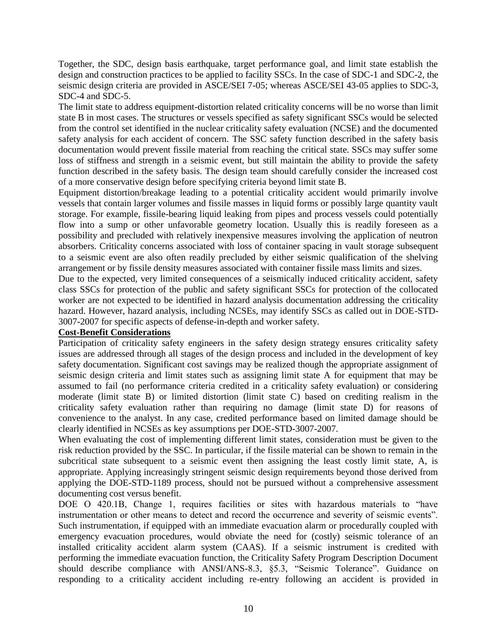Together, the SDC, design basis earthquake, target performance goal, and limit state establish the design and construction practices to be applied to facility SSCs. In the case of SDC-1 and SDC-2, the seismic design criteria are provided in ASCE/SEI 7-05; whereas ASCE/SEI 43-05 applies to SDC-3, SDC-4 and SDC-5.

The limit state to address equipment-distortion related criticality concerns will be no worse than limit state B in most cases. The structures or vessels specified as safety significant SSCs would be selected from the control set identified in the nuclear criticality safety evaluation (NCSE) and the documented safety analysis for each accident of concern. The SSC safety function described in the safety basis documentation would prevent fissile material from reaching the critical state. SSCs may suffer some loss of stiffness and strength in a seismic event, but still maintain the ability to provide the safety function described in the safety basis. The design team should carefully consider the increased cost of a more conservative design before specifying criteria beyond limit state B.

Equipment distortion/breakage leading to a potential criticality accident would primarily involve vessels that contain larger volumes and fissile masses in liquid forms or possibly large quantity vault storage. For example, fissile-bearing liquid leaking from pipes and process vessels could potentially flow into a sump or other unfavorable geometry location. Usually this is readily foreseen as a possibility and precluded with relatively inexpensive measures involving the application of neutron absorbers. Criticality concerns associated with loss of container spacing in vault storage subsequent to a seismic event are also often readily precluded by either seismic qualification of the shelving arrangement or by fissile density measures associated with container fissile mass limits and sizes.

Due to the expected, very limited consequences of a seismically induced criticality accident, safety class SSCs for protection of the public and safety significant SSCs for protection of the collocated worker are not expected to be identified in hazard analysis documentation addressing the criticality hazard. However, hazard analysis, including NCSEs, may identify SSCs as called out in DOE-STD-3007-2007 for specific aspects of defense-in-depth and worker safety.

### **Cost-Benefit Considerations**

Participation of criticality safety engineers in the safety design strategy ensures criticality safety issues are addressed through all stages of the design process and included in the development of key safety documentation. Significant cost savings may be realized though the appropriate assignment of seismic design criteria and limit states such as assigning limit state A for equipment that may be assumed to fail (no performance criteria credited in a criticality safety evaluation) or considering moderate (limit state B) or limited distortion (limit state C) based on crediting realism in the criticality safety evaluation rather than requiring no damage (limit state D) for reasons of convenience to the analyst. In any case, credited performance based on limited damage should be clearly identified in NCSEs as key assumptions per DOE-STD-3007-2007.

When evaluating the cost of implementing different limit states, consideration must be given to the risk reduction provided by the SSC. In particular, if the fissile material can be shown to remain in the subcritical state subsequent to a seismic event then assigning the least costly limit state, A, is appropriate. Applying increasingly stringent seismic design requirements beyond those derived from applying the DOE-STD-1189 process, should not be pursued without a comprehensive assessment documenting cost versus benefit.

DOE O 420.1B, Change 1, requires facilities or sites with hazardous materials to "have instrumentation or other means to detect and record the occurrence and severity of seismic events". Such instrumentation, if equipped with an immediate evacuation alarm or procedurally coupled with emergency evacuation procedures, would obviate the need for (costly) seismic tolerance of an installed criticality accident alarm system (CAAS). If a seismic instrument is credited with performing the immediate evacuation function, the Criticality Safety Program Description Document should describe compliance with ANSI/ANS-8.3, §5.3, "Seismic Tolerance". Guidance on responding to a criticality accident including re-entry following an accident is provided in